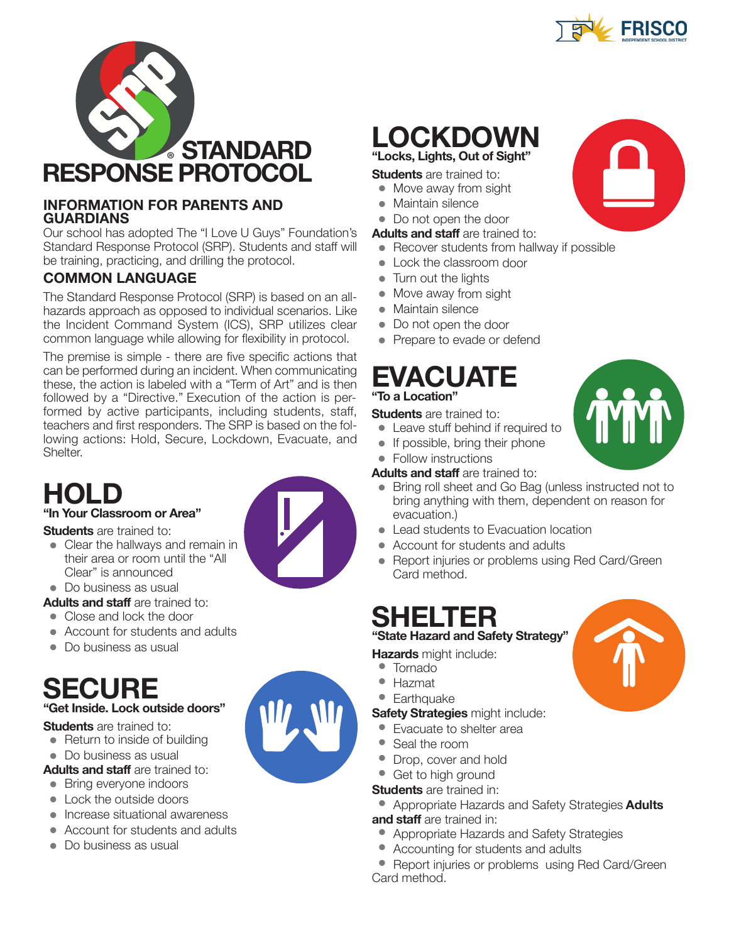



### **INFoRMATIoN FoR PARENTS ANd GUARdIANS**

Our school has adopted The "I Love U Guys" Foundation's Standard Response Protocol (SRP). Students and staff will be training, practicing, and drilling the protocol.

## **CoMMoN lANGUAGE**

The Standard Response Protocol (SRP) is based on an allhazards approach as opposed to individual scenarios. Like the Incident Command System (ICS), SRP utilizes clear common language while allowing for flexibility in protocol.

The premise is simple - there are five specific actions that can be performed during an incident. When communicating these, the action is labeled with a "Term of Art" and is then followed by a "Directive." Execution of the action is performed by active participants, including students, staff, teachers and first responders. The SRP is based on the following actions: Hold, Secure, Lockdown, Evacuate, and Shelter.

# **Hold**

## **"In Your Classroom or Area"**

**Students** are trained to:

• Clear the hallways and remain in their area or room until the "All Clear" is announced

• Do business as usual

**Adults and staff** are trained to:

- Close and lock the door
- Account for students and adults
- Do business as usual

## **SECURE "Get Inside. lock outside doors"**

**Students** are trained to:

- Return to inside of building
- Do business as usual

#### **Adults and staff** are trained to:

- Bring everyone indoors
- Lock the outside doors
- Increase situational awareness
- Account for students and adults
- Do business as usual

## LOCKDOWN **"locks, lights, out of Sight"**

#### **Students** are trained to:

- Move away from sight
- Maintain silence
- Do not open the door

#### **Adults and staff** are trained to:

- Recover students from hallway if possible
- Lock the classroom door
- Turn out the lights
- Move away from sight
- Maintain silence
- Do not open the door
- Prepare to evade or defend

## **EVACUATE "To a location"**

**Students** are trained to:

- Leave stuff behind if required to
- If possible, bring their phone
- Follow instructions

**Adults and staff** are trained to:

- Bring roll sheet and Go Bag (unless instructed not to bring anything with them, dependent on reason for evacuation.)
- Lead students to Evacuation location
- Account for students and adults
- Report injuries or problems using Red Card/Green Card method.

# **SHElTER**

## **"State Hazard and Safety Strategy"**

- 
- **Earthquake**

- 
- Seal the room
- Drop, cover and hold
- Get to high ground
- **Students** are trained in:
- Appropriate Hazards and Safety Strategies **Adults and staff** are trained in:
	- Appropriate Hazards and Safety Strategies
	- Accounting for students and adults

• Report injuries or problems using Red Card/Green Card method.





W.



- **Hazards** might include: • Tornado • Hazmat
- 

**Safety Strategies** might include:

- Evacuate to shelter area
- 
- 
- 
-